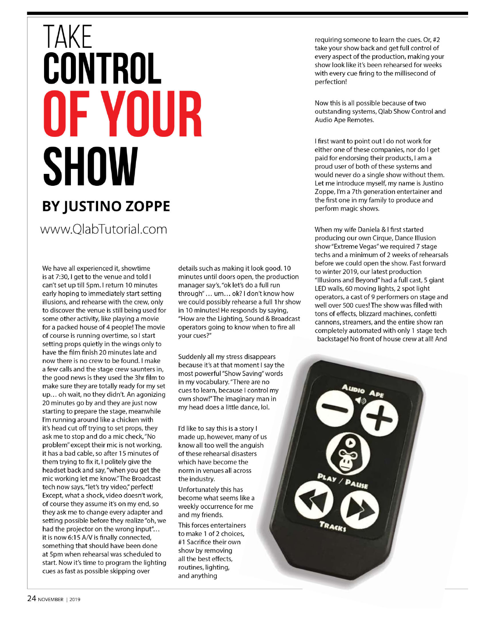## **TAKE**<br>**CONTROL** OF YOUR **SHOW BY JUSTINO ZOPPE** www.OlabTutorial.com

We have all experienced it, showtime is at 7:30, I get to the venue and told I can't set up till 5pm. I return 10 minutes early hoping to immediately start setting illusions, and rehearse with the crew, only to discover the venue is still being used for some other activity, like playing a movie for a packed house of 4 people! The movie of course is running overtime, so I start setting props quietly in the wings only to have the film finish 20 minutes late and now there is no crew to be found. I make a few calls and the stage crew saunters in, the good news is they used the 3hr film to make sure they are totally ready for my set up... oh wait, no they didn't. An agonizing 20 minutes go by and they are just now starting to prepare the stage, meanwhile I'm running around like a chicken with it's head cut off trying to set props, they ask me to stop and do a mic check, "No problem" except their mic is not working, it has a bad cable, so after 15 minutes of them trying to fix it, I politely give the headset back and say, "when you get the mic working let me know." The Broadcast tech now says, "let's try video," perfect! Except, what a shock, video doesn't work, of course they assume it's on my end, so they ask me to change every adapter and setting possible before they realize "oh, we had the projector on the wrong input"... it is now 6:15 A/V is finally connected, something that should have been done at 5pm when rehearsal was scheduled to start. Now it's time to program the lighting cues as fast as possible skipping over

details such as making it look good. 10 minutes until doors open, the production manager say's, "ok let's do a full run through"... um... ok? I don't know how we could possibly rehearse a full 1hr show in 10 minutes! He responds by saying, "How are the Lighting, Sound & Broadcast operators going to know when to fire all your cues?"

Suddenly all my stress disappears because it's at that moment I say the most powerful "Show Saving" words in my vocabulary. "There are no cues to learn, because I control my own show!" The imaginary man in my head does a little dance, lol.

I'd like to say this is a story I made up, however, many of us know all too well the anguish of these rehearsal disasters which have become the norm in venues all across the industry.

Unfortunately this has become what seems like a weekly occurrence for me and my friends.

This forces entertainers to make 1 of 2 choices, #1 Sacrifice their own show by removing all the best effects, routines, lighting, and anything

requiring someone to learn the cues. Or, #2 take your show back and get full control of every aspect of the production, making your show look like it's been rehearsed for weeks with every cue firing to the millisecond of perfection!

Now this is all possible because of two outstanding systems, Qlab Show Control and Audio Ape Remotes.

I first want to point out I do not work for either one of these companies, nor do I get paid for endorsing their products, I am a proud user of both of these systems and would never do a single show without them. Let me introduce myself, my name is Justino Zoppe, I'm a 7th generation entertainer and the first one in my family to produce and perform magic shows.

When my wife Daniela & I first started producing our own Cirque, Dance Illusion show "Extreme Vegas" we required 7 stage techs and a minimum of 2 weeks of rehearsals before we could open the show. Fast forward to winter 2019, our latest production "Illusions and Beyond" had a full cast, 5 giant LED walls, 60 moving lights, 2 spot light operators, a cast of 9 performers on stage and well over 500 cues! The show was filled with tons of effects, blizzard machines, confetti cannons, streamers, and the entire show ran completely automated with only 1 stage tech backstage! No front of house crew at all! And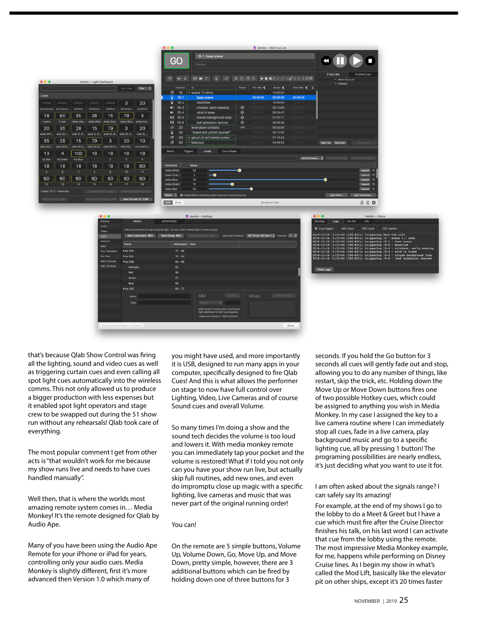|                   |                           |             |                           |                | $\bullet\bullet\bullet$<br>Hamlet - Main Cue List |                       |                           |          |                                                                                                                                                                                                                                                                                                                       |                       |           |                         |               |                     |                            |
|-------------------|---------------------------|-------------|---------------------------|----------------|---------------------------------------------------|-----------------------|---------------------------|----------|-----------------------------------------------------------------------------------------------------------------------------------------------------------------------------------------------------------------------------------------------------------------------------------------------------------------------|-----------------------|-----------|-------------------------|---------------|---------------------|----------------------------|
|                   |                           |             |                           |                |                                                   |                       |                           | GO       | 10-1 - base scene<br>Notes                                                                                                                                                                                                                                                                                            |                       |           |                         |               |                     |                            |
|                   |                           |             |                           |                |                                                   |                       |                           |          |                                                                                                                                                                                                                                                                                                                       |                       |           |                         |               | 2 Cue Lists         | O Active Cues              |
| $\bullet$         |                           |             | Hamlet - Light Dashboard  |                |                                                   |                       | $\sigma$                  |          | $\bullet 0 \quad Q \quad \blacksquare \quad \blacksquare \quad T \quad Q \quad \blacksquare \quad \blacksquare \quad \blacksquare \quad Q \quad \square \quad Q \quad \blacktriangleright \blacksquare \blacksquare \quad Q \land C \to d^* \cup \lhd \lhd \Sigma \oplus \mathrel{\mathop{\rm \mathbf{1:}}\nolimits}$ |                       |           |                         |               | > Main Cue List     |                            |
|                   |                           |             |                           |                | over time                                         | Tiles C               |                           | Number   | $\circ$                                                                                                                                                                                                                                                                                                               | Target                | Pre Walt  | Action $\blacktriangle$ | Post Walt < & | <b>&gt; Presets</b> |                            |
|                   |                           |             |                           |                |                                                   |                       | σ                         | 10       | * scene 1.1 atmo                                                                                                                                                                                                                                                                                                      |                       |           | 10:00.00                |               |                     |                            |
|                   |                           |             |                           |                |                                                   |                       | o                         | $10 - 1$ | base scene                                                                                                                                                                                                                                                                                                            |                       | 00:00.00  | 00:05.00                | 00:00.00      |                     |                            |
| mixed)            | (mixed)                   | (mixed)     | (mixed)                   | (mixed)        | 3                                                 | 20                    | Θ                         | $10 - 2$ | moonrise                                                                                                                                                                                                                                                                                                              |                       | 0.0000    | 10:00.00                |               |                     |                            |
| <b>Lintensity</b> | all.intensi.              | all.Red     | all.Green                 | all.Blue       | all.Amber                                         | all.White             | $-10$                     | $10 - 3$ | crickets, early evening                                                                                                                                                                                                                                                                                               | $\bullet$             |           | 00:10.63                |               |                     |                            |
| 18                | 60                        | 35          | 28                        | 15             | 79                                                | 3                     | $-10$                     | $10 - 4$ | wind in trees                                                                                                                                                                                                                                                                                                         | $\boldsymbol{\Theta}$ | 00:00:00  | 00:24.47                | 00/00/00      |                     |                            |
| warm.             |                           | sides.inte. | sides Red                 |                | sides.Blue                                        |                       | 8                         | $10 - 5$ | clouds background loop                                                                                                                                                                                                                                                                                                | $\odot$               |           | 01:02.77                |               |                     |                            |
|                   | f cool                    |             |                           | sides.Gre.     |                                                   | sides.Am.             | $\mathbf{H}$              | $10 - 6$ | leaf animation texture                                                                                                                                                                                                                                                                                                | $\omega$              | 10.00.00  | 00:56.36                | 00:00:00      |                     |                            |
| 20                | 35                        | 28          | 15                        | 79             | 3                                                 | 20                    | и                         | 20       | level down crickets                                                                                                                                                                                                                                                                                                   | $10-3$                |           | 00:20.00                |               |                     |                            |
| des.Whi           | side SL.L.                | side SL.R.  | side SLG                  | side SL.B.     | side SL.A.                                        | side SL.              | Θ                         | 30<br>40 | "stand and unfold yourself"<br>▶ ghost of old hamlet enters                                                                                                                                                                                                                                                           |                       | 10:00:00  | 00:12.00<br>01:15.43    | 00:00.00      |                     |                            |
| 35                | 28                        | 15          | 79                        | 3              | 20                                                | 10                    | σ<br>σ                    | 50       | <b>&gt; blackout</b>                                                                                                                                                                                                                                                                                                  |                       |           | 00:06.00                |               | New List New Cart   |                            |
| ide SR.L.         | side SR.R.                | side SR.G.  | side SR.B.                | side SR.A.     | side SR.                                          | bx.intensi            |                           |          |                                                                                                                                                                                                                                                                                                                       |                       |           |                         |               |                     |                            |
|                   | $\overline{a}$            | 100         | 18                        | 18             | 18                                                | 18                    | <b>Basics</b>             |          | Curve Shape<br>Levels<br>Triggers                                                                                                                                                                                                                                                                                     |                       |           |                         |               |                     |                            |
| 13                | bx.Green                  | bx.Blue     |                           | $\overline{2}$ |                                                   | $\overline{a}$        |                           |          |                                                                                                                                                                                                                                                                                                                       |                       |           |                         | Add Command C |                     | <b>CONTRACTOR</b> Soft Com |
| bx.Red            |                           |             |                           |                |                                                   |                       |                           |          |                                                                                                                                                                                                                                                                                                                       |                       |           |                         |               |                     |                            |
| 18                | 18                        | 18          | 18                        | 18             | 18                                                | 60                    | <b>Instrument</b>         |          | <b>Values</b>                                                                                                                                                                                                                                                                                                         |                       |           |                         |               |                     |                            |
|                   | <b>B</b>                  |             | R                         | $\mathbf{P}$   | 10                                                | 11                    | sides.White<br>sides.Amb. |          | 20<br>$-\bullet$<br>$\overline{\mathbf{3}}$                                                                                                                                                                                                                                                                           | ●                     |           |                         |               |                     | Expand X<br>Expand X       |
| 60                | 60                        | 60          | 60                        | 60             | 60                                                | 60                    | sides.Blue                |          | 79                                                                                                                                                                                                                                                                                                                    |                       |           |                         |               | Θ                   | Expand X                   |
| 12                | 13                        | 14          | 15                        | 16             | 17                                                | 18                    | sides.Green               |          | 15                                                                                                                                                                                                                                                                                                                    |                       |           |                         |               |                     | Expand X                   |
|                   | Latest: 10-2 · moonrise   |             | Clodate Latest Cue 30U    |                | Elistate 0 Ori                                    | Ing Cues              | sides.Red                 |          | 28                                                                                                                                                                                                                                                                                                                    |                       | $\bullet$ |                         |               |                     | Expand X                   |
|                   |                           |             |                           |                |                                                   |                       | Sliders 2                 |          | Collate effects of previous light cues when running this cue                                                                                                                                                                                                                                                          |                       |           |                         |               | Light Patch         | Light Dashboard            |
|                   | <b>Revert Changes 30R</b> |             | New Cue with Changes, 3DV |                |                                                   | New Cue with All 0 XN | EGB Show                  |          |                                                                                                                                                                                                                                                                                                                       |                       |           | 28 cues in 2 lists      |               |                     | II O O                     |





that's because Qlab Show Control was fring all the lighting, sound and video cues as well as triggering curtain cues and even calling all spot light cues automatically into the wireless comms. This not only allowed us to produce a bigger production with less expenses but it enabled spot light operators and stage crew to be swapped out during the 51 show run without any rehearsals! Qlab took care of everything.

The most popular comment I get from other acts is "that wouldn't work for me because my show runs live and needs to have cues handled manually".

Well then, that is where the worlds most amazing remote system comes in… Media Monkey! It's the remote designed for Qlab by Audio Ape.

Many of you have been using the Audio Ape Remote for your iPhone or iPad for years, controlling only your audio cues. Media Monkey is slightly diferent, frst it's more advanced then Version 1.0 which many of

you might have used, and more importantly it is USB, designed to run many apps in your computer, specifcally designed to fre Qlab Cues! And this is what allows the performer on stage to now have full control over Lighting, Video, Live Cameras and of course Sound cues and overall Volume.

So many times I'm doing a show and the sound tech decides the volume is too loud and lowers it. With media monkey remote you can immediately tap your pocket and the volume is restored! What if I told you not only can you have your show run live, but actually skip full routines, add new ones, and even do impromptu close up magic with a specifc lighting, live cameras and music that was never part of the original running order!

## You can!

On the remote are 5 simple buttons, Volume Up, Volume Down, Go, Move Up, and Move Down, pretty simple, however, there are 3 additional buttons which can be fred by holding down one of three buttons for 3

seconds. If you hold the Go button for 3 seconds all cues will gently fade out and stop, allowing you to do any number of things, like restart, skip the trick, etc. Holding down the Move Up or Move Down buttons fres one of two possible Hotkey cues, which could be assigned to anything you wish in Media Monkey. In my case I assigned the key to a live camera routine where I can immediately stop all cues, fade in a live camera, play background music and go to a specifc lighting cue, all by pressing 1 button! The programing possibilities are nearly endless, it's just deciding what you want to use it for.

## I am often asked about the signals range? I can safely say Its amazing!

For example, at the end of my shows I go to the lobby to do a Meet & Greet but I have a cue which must fre after the Cruise Director fnishes his talk, on his last word I can activate that cue from the lobby using the remote. The most impressive Media Monkey example, for me, happens while performing on Disney Cruise lines. As I begin my show in what's called the Mod Lift, basically like the elevator pit on other ships, except it's 20 times faster